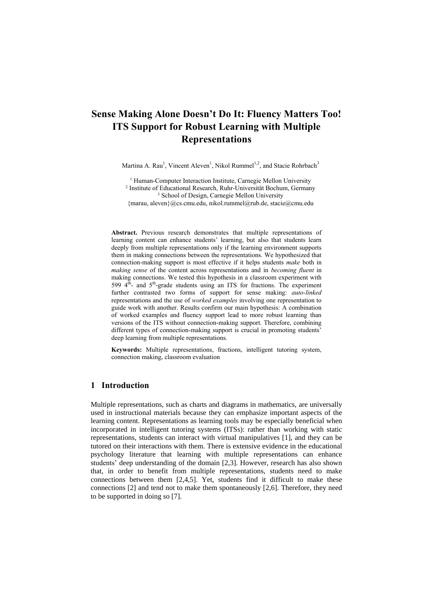# **Sense Making Alone Doesn't Do It: Fluency Matters Too! ITS Support for Robust Learning with Multiple Representations**

Martina A. Rau<sup>1</sup>, Vincent Aleven<sup>1</sup>, Nikol Rummel<sup>1,2</sup>, and Stacie Rohrbach<sup>3</sup>

<sup>1</sup> Human-Computer Interaction Institute, Carnegie Mellon University 2 Institute of Educational Research, Ruhr-Universität Bochum, Germany <sup>3</sup> School of Design, Carnegie Mellon University {marau, aleven}@cs.cmu.edu, nikol.rummel@rub.de, stacie@cmu.edu

**Abstract.** Previous research demonstrates that multiple representations of learning content can enhance students' learning, but also that students learn deeply from multiple representations only if the learning environment supports them in making connections between the representations. We hypothesized that connection-making support is most effective if it helps students *make* both in *making sense* of the content across representations and in *becoming fluent* in making connections. We tested this hypothesis in a classroom experiment with 599  $4^{\overline{th}}$ - and  $5^{\overline{th}}$ -grade students using an ITS for fractions. The experiment further contrasted two forms of support for sense making: *auto-linked* representations and the use of *worked examples* involving one representation to guide work with another. Results confirm our main hypothesis: A combination of worked examples and fluency support lead to more robust learning than versions of the ITS without connection-making support. Therefore, combining different types of connection-making support is crucial in promoting students' deep learning from multiple representations.

**Keywords:** Multiple representations, fractions, intelligent tutoring system, connection making, classroom evaluation

# **1 Introduction**

Multiple representations, such as charts and diagrams in mathematics, are universally used in instructional materials because they can emphasize important aspects of the learning content. Representations as learning tools may be especially beneficial when incorporated in intelligent tutoring systems (ITSs): rather than working with static representations, students can interact with virtual manipulatives [1], and they can be tutored on their interactions with them. There is extensive evidence in the educational psychology literature that learning with multiple representations can enhance students' deep understanding of the domain [2,3]. However, research has also shown that, in order to benefit from multiple representations, students need to make connections between them [2,4,5]. Yet, students find it difficult to make these connections [2] and tend not to make them spontaneously [2,6]. Therefore, they need to be supported in doing so [7].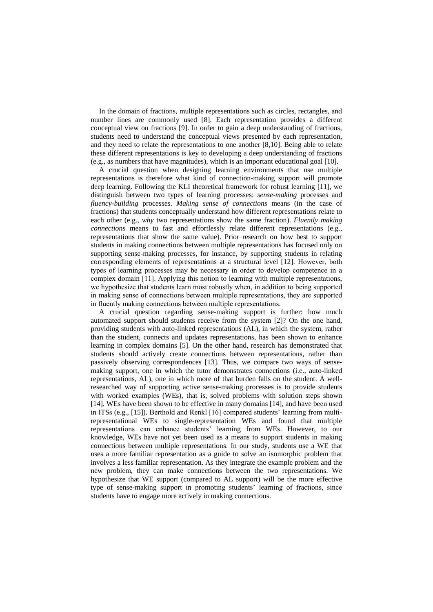In the domain of fractions, multiple representations such as circles, rectangles, and number lines are commonly used [8]. Each representation provides a different conceptual view on fractions [9]. In order to gain a deep understanding of fractions, students need to understand the conceptual views presented by each representation, and they need to relate the representations to one another [8,10]. Being able to relate these different representations is key to developing a deep understanding of fractions (e.g., as numbers that have magnitudes), which is an important educational goal [10].

A crucial question when designing learning environments that use multiple representations is therefore what kind of connection-making support will promote deep learning. Following the KLI theoretical framework for robust learning [11], we distinguish between two types of learning processes: *sense-making* processes and *fluency-building* processes. *Making sense of connections* means (in the case of fractions) that students conceptually understand how different representations relate to each other (e.g., *why* two representations show the same fraction). *Fluently making connections* means to fast and effortlessly relate different representations (e.g., representations that show the same value). Prior research on how best to support students in making connections between multiple representations has focused only on supporting sense-making processes, for instance, by supporting students in relating corresponding elements of representations at a structural level [12]. However, both types of learning processes may be necessary in order to develop competence in a complex domain [11]. Applying this notion to learning with multiple representations, we hypothesize that students learn most robustly when, in addition to being supported in making sense of connections between multiple representations, they are supported in fluently making connections between multiple representations.

A crucial question regarding sense-making support is further: how much automated support should students receive from the system [2]? On the one hand, providing students with auto-linked representations (AL), in which the system, rather than the student, connects and updates representations, has been shown to enhance learning in complex domains [5]. On the other hand, research has demonstrated that students should actively create connections between representations, rather than passively observing correspondences [13]. Thus, we compare two ways of sensemaking support, one in which the tutor demonstrates connections (i.e., auto-linked representations, AL), one in which more of that burden falls on the student. A wellresearched way of supporting active sense-making processes is to provide students with worked examples (WEs), that is, solved problems with solution steps shown [14]. WEs have been shown to be effective in many domains [14], and have been used in ITSs (e.g., [15]). Berthold and Renkl [16] compared students' learning from multirepresentational WEs to single-representation WEs and found that multiple representations can enhance students' learning from WEs. However, to our knowledge, WEs have not yet been used as a means to support students in making connections between multiple representations. In our study, students use a WE that uses a more familiar representation as a guide to solve an isomorphic problem that involves a less familiar representation. As they integrate the example problem and the new problem, they can make connections between the two representations. We hypothesize that WE support (compared to AL support) will be the more effective type of sense-making support in promoting students' learning of fractions, since students have to engage more actively in making connections.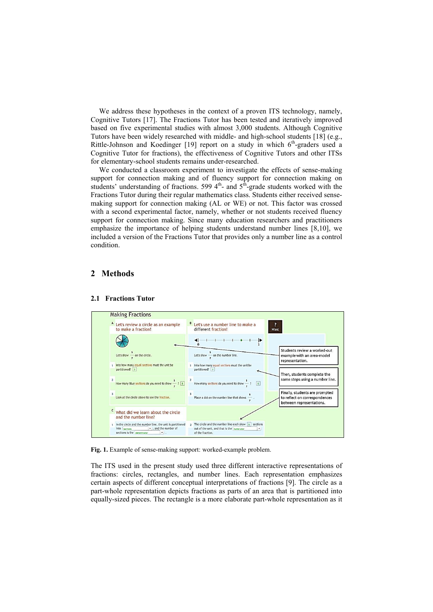We address these hypotheses in the context of a proven ITS technology, namely, Cognitive Tutors [17]. The Fractions Tutor has been tested and iteratively improved based on five experimental studies with almost 3,000 students. Although Cognitive Tutors have been widely researched with middle- and high-school students [18] (e.g., Rittle-Johnson and Koedinger [19] report on a study in which 6<sup>th</sup>-graders used a Cognitive Tutor for fractions), the effectiveness of Cognitive Tutors and other ITSs for elementary-school students remains under-researched.

We conducted a classroom experiment to investigate the effects of sense-making support for connection making and of fluency support for connection making on students' understanding of fractions. 599  $4<sup>th</sup>$  and  $5<sup>th</sup>$  grade students worked with the Fractions Tutor during their regular mathematics class. Students either received sensemaking support for connection making (AL or WE) or not. This factor was crossed with a second experimental factor, namely, whether or not students received fluency support for connection making. Since many education researchers and practitioners emphasize the importance of helping students understand number lines [8,10], we included a version of the Fractions Tutor that provides only a number line as a control condition.

# **2 Methods**



### **2.1 Fractions Tutor**

**Fig. 1.** Example of sense-making support: worked-example problem.

The ITS used in the present study used three different interactive representations of fractions: circles, rectangles, and number lines. Each representation emphasizes certain aspects of different conceptual interpretations of fractions [9]. The circle as a part-whole representation depicts fractions as parts of an area that is partitioned into equally-sized pieces. The rectangle is a more elaborate part-whole representation as it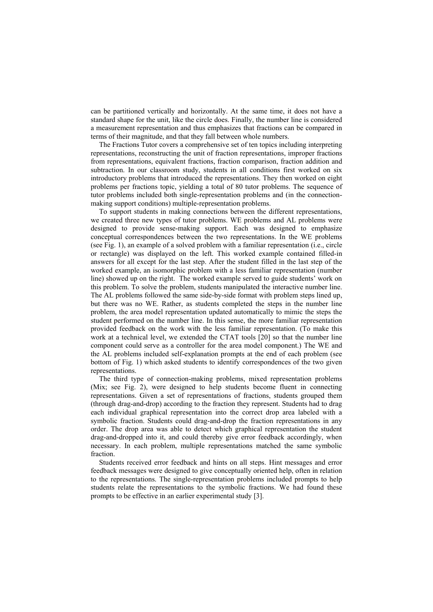can be partitioned vertically and horizontally. At the same time, it does not have a standard shape for the unit, like the circle does. Finally, the number line is considered a measurement representation and thus emphasizes that fractions can be compared in terms of their magnitude, and that they fall between whole numbers.

The Fractions Tutor covers a comprehensive set of ten topics including interpreting representations, reconstructing the unit of fraction representations, improper fractions from representations, equivalent fractions, fraction comparison, fraction addition and subtraction. In our classroom study, students in all conditions first worked on six introductory problems that introduced the representations. They then worked on eight problems per fractions topic, yielding a total of 80 tutor problems. The sequence of tutor problems included both single-representation problems and (in the connectionmaking support conditions) multiple-representation problems.

To support students in making connections between the different representations, we created three new types of tutor problems. WE problems and AL problems were designed to provide sense-making support. Each was designed to emphasize conceptual correspondences between the two representations. In the WE problems (see Fig. 1), an example of a solved problem with a familiar representation (i.e., circle or rectangle) was displayed on the left. This worked example contained filled-in answers for all except for the last step. After the student filled in the last step of the worked example, an isomorphic problem with a less familiar representation (number line) showed up on the right. The worked example served to guide students' work on this problem. To solve the problem, students manipulated the interactive number line. The AL problems followed the same side-by-side format with problem steps lined up, but there was no WE. Rather, as students completed the steps in the number line problem, the area model representation updated automatically to mimic the steps the student performed on the number line. In this sense, the more familiar representation provided feedback on the work with the less familiar representation. (To make this work at a technical level, we extended the CTAT tools [20] so that the number line component could serve as a controller for the area model component.) The WE and the AL problems included self-explanation prompts at the end of each problem (see bottom of Fig. 1) which asked students to identify correspondences of the two given representations.

The third type of connection-making problems, mixed representation problems (Mix; see Fig. 2), were designed to help students become fluent in connecting representations. Given a set of representations of fractions, students grouped them (through drag-and-drop) according to the fraction they represent. Students had to drag each individual graphical representation into the correct drop area labeled with a symbolic fraction. Students could drag-and-drop the fraction representations in any order. The drop area was able to detect which graphical representation the student drag-and-dropped into it, and could thereby give error feedback accordingly, when necessary. In each problem, multiple representations matched the same symbolic fraction.

Students received error feedback and hints on all steps. Hint messages and error feedback messages were designed to give conceptually oriented help, often in relation to the representations. The single-representation problems included prompts to help students relate the representations to the symbolic fractions. We had found these prompts to be effective in an earlier experimental study [3].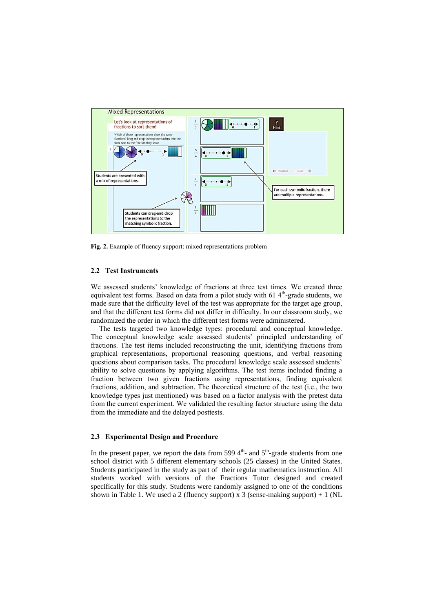

**Fig. 2.** Example of fluency support: mixed representations problem

### **2.2 Test Instruments**

We assessed students' knowledge of fractions at three test times. We created three equivalent test forms. Based on data from a pilot study with  $614<sup>th</sup>$ -grade students, we made sure that the difficulty level of the test was appropriate for the target age group, and that the different test forms did not differ in difficulty. In our classroom study, we randomized the order in which the different test forms were administered.

The tests targeted two knowledge types: procedural and conceptual knowledge. The conceptual knowledge scale assessed students' principled understanding of fractions. The test items included reconstructing the unit, identifying fractions from graphical representations, proportional reasoning questions, and verbal reasoning questions about comparison tasks. The procedural knowledge scale assessed students' ability to solve questions by applying algorithms. The test items included finding a fraction between two given fractions using representations, finding equivalent fractions, addition, and subtraction. The theoretical structure of the test (i.e., the two knowledge types just mentioned) was based on a factor analysis with the pretest data from the current experiment. We validated the resulting factor structure using the data from the immediate and the delayed posttests.

### **2.3 Experimental Design and Procedure**

In the present paper, we report the data from 599  $4<sup>th</sup>$ - and  $5<sup>th</sup>$ -grade students from one school district with 5 different elementary schools (25 classes) in the United States. Students participated in the study as part of their regular mathematics instruction. All students worked with versions of the Fractions Tutor designed and created specifically for this study. Students were randomly assigned to one of the conditions shown in Table 1. We used a 2 (fluency support) x 3 (sense-making support)  $+1$  (NL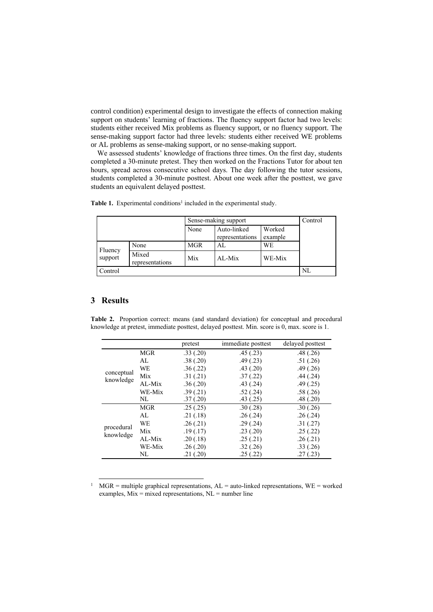control condition) experimental design to investigate the effects of connection making support on students' learning of fractions. The fluency support factor had two levels: students either received Mix problems as fluency support, or no fluency support. The sense-making support factor had three levels: students either received WE problems or AL problems as sense-making support, or no sense-making support.

We assessed students' knowledge of fractions three times. On the first day, students completed a 30-minute pretest. They then worked on the Fractions Tutor for about ten hours, spread across consecutive school days. The day following the tutor sessions, students completed a 30-minute posttest. About one week after the posttest, we gave students an equivalent delayed posttest.

|                    |                          | Sense-making support |                                |                   | Control |
|--------------------|--------------------------|----------------------|--------------------------------|-------------------|---------|
|                    |                          | None                 | Auto-linked<br>representations | Worked<br>example |         |
| Fluency<br>support | None                     | <b>MGR</b>           | AL.                            | WE                |         |
|                    | Mixed<br>representations | Mix                  | $AI-Mix$                       | WE-Mix            |         |
| Control            | NL                       |                      |                                |                   |         |

Table 1. Experimental conditions<sup>1</sup> included in the experimental study.

# **3 Results**

-

**Table 2.** Proportion correct: means (and standard deviation) for conceptual and procedural knowledge at pretest, immediate posttest, delayed posttest. Min. score is 0, max. score is 1.

|                         |            | pretest  | immediate posttest | delayed posttest |
|-------------------------|------------|----------|--------------------|------------------|
| conceptual<br>knowledge | <b>MGR</b> | .33(.20) | .45(.23)           | .48(.26)         |
|                         | AL         | .38(.20) | .49(0.23)          | .51(.26)         |
|                         | WE         | .36(.22) | .43(.20)           | .49(.26)         |
|                         | Mix        | .31(.21) | .37(.22)           | .44(.24)         |
|                         | AL-Mix     | .36(.20) | .43(.24)           | .49(.25)         |
|                         | WE-Mix     | .39(.21) | .52(.24)           | .58(.26)         |
|                         | NL         | .37(.20) | .43(.25)           | .48(.20)         |
| procedural<br>knowledge | MGR        | .25(.25) | .30(.28)           | .30(.26)         |
|                         | AL         | .21(.18) | .26(.24)           | .26(.24)         |
|                         | WE         | .26(.21) | .29(.24)           | .31(.27)         |
|                         | Mix        | .19(.17) | .23(.20)           | .25(.22)         |
|                         | AL-Mix     | .20(.18) | .25(.21)           | .26(.21)         |
|                         | WE-Mix     | .26(.20) | .32(.26)           | .33(.26)         |
|                         | NL         | .21(.20) | .25(.22)           | .27(.23)         |

<sup>&</sup>lt;sup>1</sup> MGR = multiple graphical representations,  $AL =$  auto-linked representations,  $WE =$  worked examples,  $Mix = mixed representations$ ,  $NL = number line$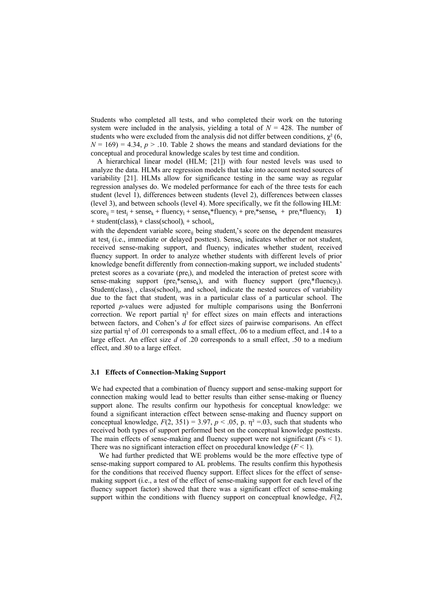Students who completed all tests, and who completed their work on the tutoring system were included in the analysis, yielding a total of  $N = 428$ . The number of students who were excluded from the analysis did not differ between conditions,  $\gamma^2$  (6,  $N = 169$  = 4.34,  $p > 0.10$ . Table 2 shows the means and standard deviations for the conceptual and procedural knowledge scales by test time and condition.

A hierarchical linear model (HLM; [21]) with four nested levels was used to analyze the data. HLMs are regression models that take into account nested sources of variability [21]. HLMs allow for significance testing in the same way as regular regression analyses do. We modeled performance for each of the three tests for each student (level 1), differences between students (level 2), differences between classes (level 3), and between schools (level 4). More specifically, we fit the following HLM:  $score_{ij} = test_j + sense_k + fluency_1 + sense_k * fluency_1 + pre_i * sense_k + pre_i * fluency_1 \quad 1)$  $+ student (class)_i + class (school)_i + school_i,$ 

with the dependent variable score<sub>ii</sub> being student<sub>i</sub>'s score on the dependent measures at test<sub>i</sub> (i.e., immediate or delayed posttest). Sense<sub>k</sub> indicates whether or not student<sub>i</sub> received sense-making support, and fluency<sub>l</sub> indicates whether student<sub>i</sub> received fluency support. In order to analyze whether students with different levels of prior knowledge benefit differently from connection-making support, we included students' pretest scores as a covariate (pre<sub>i</sub>), and modeled the interaction of pretest score with sense-making support ( $pre_i$ \*sense<sub>k</sub>), and with fluency support ( $pre_i$ \*fluency<sub>1</sub>). Student(class) $_i$ , class(school) $_i$ , and school<sub>i</sub> indicate the nested sources of variability due to the fact that student<sub>i</sub> was in a particular class of a particular school. The reported *p*-values were adjusted for multiple comparisons using the Bonferroni correction. We report partial  $\eta^2$  for effect sizes on main effects and interactions between factors, and Cohen's *d* for effect sizes of pairwise comparisons. An effect size partial  $\eta^2$  of .01 corresponds to a small effect, .06 to a medium effect, and .14 to a large effect. An effect size *d* of .20 corresponds to a small effect, .50 to a medium effect, and .80 to a large effect.

#### **3.1 Effects of Connection-Making Support**

We had expected that a combination of fluency support and sense-making support for connection making would lead to better results than either sense-making or fluency support alone. The results confirm our hypothesis for conceptual knowledge: we found a significant interaction effect between sense-making and fluency support on conceptual knowledge,  $F(2, 351) = 3.97$ ,  $p < .05$ , p.  $\eta^2 = .03$ , such that students who received both types of support performed best on the conceptual knowledge posttests. The main effects of sense-making and fluency support were not significant  $(Fs \le 1)$ . There was no significant interaction effect on procedural knowledge  $(F < 1)$ .

We had further predicted that WE problems would be the more effective type of sense-making support compared to AL problems. The results confirm this hypothesis for the conditions that received fluency support. Effect slices for the effect of sensemaking support (i.e., a test of the effect of sense-making support for each level of the fluency support factor) showed that there was a significant effect of sense-making support within the conditions with fluency support on conceptual knowledge, *F*(2,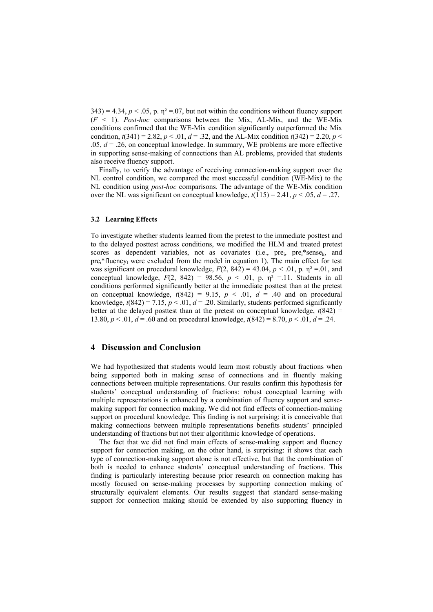$343$ ) = 4.34,  $p < .05$ , p.  $\eta^2 = .07$ , but not within the conditions without fluency support (*F* < 1). *Post-hoc* comparisons between the Mix, AL-Mix, and the WE-Mix conditions confirmed that the WE-Mix condition significantly outperformed the Mix condition,  $t(341) = 2.82$ ,  $p < 0.01$ ,  $d = 0.32$ , and the AL-Mix condition  $t(342) = 2.20$ ,  $p <$ .05, *d* = .26, on conceptual knowledge. In summary, WE problems are more effective in supporting sense-making of connections than AL problems, provided that students also receive fluency support.

Finally, to verify the advantage of receiving connection-making support over the NL control condition, we compared the most successful condition (WE-Mix) to the NL condition using *post-hoc* comparisons. The advantage of the WE-Mix condition over the NL was significant on conceptual knowledge,  $t(115) = 2.41$ ,  $p < .05$ ,  $d = .27$ .

#### **3.2 Learning Effects**

To investigate whether students learned from the pretest to the immediate posttest and to the delayed posttest across conditions, we modified the HLM and treated pretest scores as dependent variables, not as covariates (i.e.,  $pre_i$ ,  $pre_i$ \*sense<sub>k</sub>, and  $pre_i^*$ fluency<sub>l</sub> were excluded from the model in equation 1). The main effect for test was significant on procedural knowledge,  $F(2, 842) = 43.04$ ,  $p < .01$ , p.  $\eta^2 = .01$ , and conceptual knowledge,  $F(2, 842) = 98.56$ ,  $p < .01$ , p.  $\eta^2 = .11$ . Students in all conditions performed significantly better at the immediate posttest than at the pretest on conceptual knowledge,  $t(842) = 9.15$ ,  $p < .01$ ,  $d = .40$  and on procedural knowledge,  $t(842) = 7.15$ ,  $p < 0.01$ ,  $d = 0.20$ . Similarly, students performed significantly better at the delayed posttest than at the pretest on conceptual knowledge,  $t(842)$  = 13.80,  $p < 0.01$ ,  $d = 0.60$  and on procedural knowledge,  $t(842) = 8.70$ ,  $p < 0.01$ ,  $d = 0.24$ .

# **4 Discussion and Conclusion**

We had hypothesized that students would learn most robustly about fractions when being supported both in making sense of connections and in fluently making connections between multiple representations. Our results confirm this hypothesis for students' conceptual understanding of fractions: robust conceptual learning with multiple representations is enhanced by a combination of fluency support and sensemaking support for connection making. We did not find effects of connection-making support on procedural knowledge. This finding is not surprising: it is conceivable that making connections between multiple representations benefits students' principled understanding of fractions but not their algorithmic knowledge of operations.

The fact that we did not find main effects of sense-making support and fluency support for connection making, on the other hand, is surprising: it shows that each type of connection-making support alone is not effective, but that the combination of both is needed to enhance students' conceptual understanding of fractions. This finding is particularly interesting because prior research on connection making has mostly focused on sense-making processes by supporting connection making of structurally equivalent elements. Our results suggest that standard sense-making support for connection making should be extended by also supporting fluency in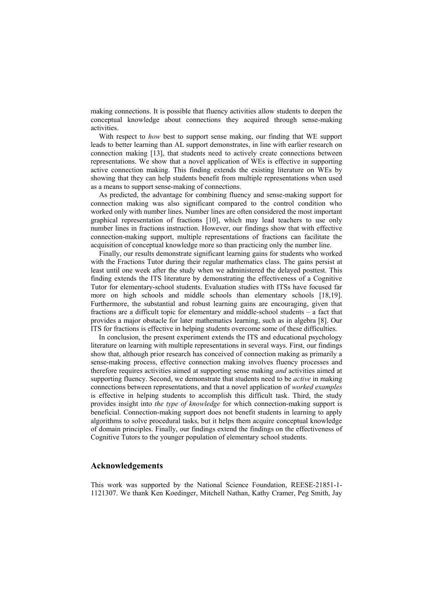making connections. It is possible that fluency activities allow students to deepen the conceptual knowledge about connections they acquired through sense-making activities.

With respect to *how* best to support sense making, our finding that WE support leads to better learning than AL support demonstrates, in line with earlier research on connection making [13], that students need to actively create connections between representations. We show that a novel application of WEs is effective in supporting active connection making. This finding extends the existing literature on WEs by showing that they can help students benefit from multiple representations when used as a means to support sense-making of connections.

As predicted, the advantage for combining fluency and sense-making support for connection making was also significant compared to the control condition who worked only with number lines. Number lines are often considered the most important graphical representation of fractions [10], which may lead teachers to use only number lines in fractions instruction. However, our findings show that with effective connection-making support, multiple representations of fractions can facilitate the acquisition of conceptual knowledge more so than practicing only the number line.

Finally, our results demonstrate significant learning gains for students who worked with the Fractions Tutor during their regular mathematics class. The gains persist at least until one week after the study when we administered the delayed posttest. This finding extends the ITS literature by demonstrating the effectiveness of a Cognitive Tutor for elementary-school students. Evaluation studies with ITSs have focused far more on high schools and middle schools than elementary schools [18,19]. Furthermore, the substantial and robust learning gains are encouraging, given that fractions are a difficult topic for elementary and middle-school students – a fact that provides a major obstacle for later mathematics learning, such as in algebra [8]. Our ITS for fractions is effective in helping students overcome some of these difficulties.

In conclusion, the present experiment extends the ITS and educational psychology literature on learning with multiple representations in several ways. First, our findings show that, although prior research has conceived of connection making as primarily a sense-making process, effective connection making involves fluency processes and therefore requires activities aimed at supporting sense making *and* activities aimed at supporting fluency. Second, we demonstrate that students need to be *active* in making connections between representations, and that a novel application of *worked examples* is effective in helping students to accomplish this difficult task. Third, the study provides insight into *the type of knowledge* for which connection-making support is beneficial. Connection-making support does not benefit students in learning to apply algorithms to solve procedural tasks, but it helps them acquire conceptual knowledge of domain principles. Finally, our findings extend the findings on the effectiveness of Cognitive Tutors to the younger population of elementary school students.

# **Acknowledgements**

This work was supported by the National Science Foundation, REESE-21851-1- 1121307. We thank Ken Koedinger, Mitchell Nathan, Kathy Cramer, Peg Smith, Jay